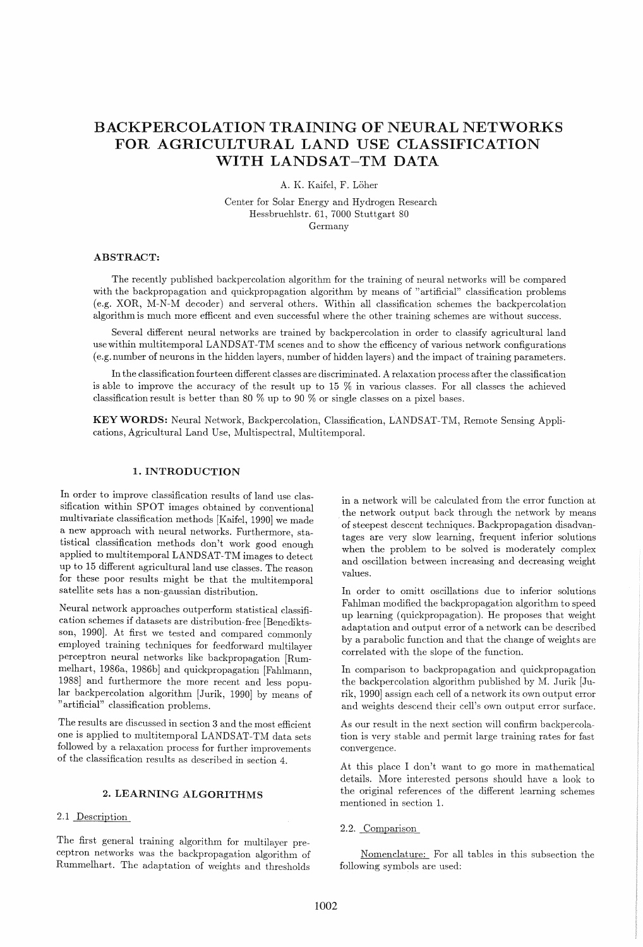# BACKPERCOLATION TRAINING OF NEURAL NETWORKS FOR AGRICULTURAL LAND USE CLASSIFICATION WITH LANDSAT-TM DATA

A. K. Kaifel, F. Loher

Center for Solar Energy and Hydrogen Research Hessbruehlstr. 61, 7000 Stuttgart 80 Germany

#### ABSTRACT:

The recently published backpercolation algorithm for the training of neural networks will be compared with the backpropagation and quickpropagation algorithm by means of "artificial" classification problems (e.g. XOR, M-N-M decoder) and serveral others. Within all classification schemes the backpercolation algorithm is much more efficent and even successful where the other training schemes are without success.

Several different neural networks are trained by backpercolation in order to classify agricultural land usewithin multitemporal LANDSAT-TM scenes and to show the efficency of various network configurations (e.g. number of neurons in the hidden layers, number of hidden layers) and the impact of training parameters.

In the classification fourteen different classes are discriminated. A relaxation process after the classification is able to improve the accuracy of the result up to 15 % in various classes. For all classes the achieved classification result is better than 80 % up to 90 % or single classes on a pixel bases.

KEYWORDS: Neural Network, Backpercolation, Classification, LANDSAT-TM, Remote Sensing Applications, Agricultural Land Use, Multispectral, Multitemporal.

# 1. INTRODUCTION

In order to improve classification results of land use classification within SPOT images obtained by conventional multivariate classification methods [Kaifel, 1990] we made a new approach with neural networks. Furthermore, statistical classification methods don't work good enough applied to multitemporal LANDSAT-TM images to detect up to 15 different agricultural land use classes. The reason for these poor results might be that the multitemporal satellite sets has a non-gaussian distribution.

Neural network approaches outperform statistical classification schemes if datasets are distribution-free [Benediktsson, 1990]. At first we tested and compared commonly employed training techniques for feedforward multilayer perceptron neural networks like backpropagation [Rummelhart, 1986a, 1986b] and quickpropagation [Fahlmann, 1988] and furthermore the more recent and less popular backpercolation algorithm [Jurik, 1990] by means of "artificial" classification problems.

The results are discussed in section 3 and the most efficient one is applied to multitemporal LANDSAT-TM data sets followed by a relaxation process for further improvements of the classification results as described in section 4.

#### 2. LEARNING ALGORITHMS

## 2.1 Description

The first general training algorithm for multilayer preceptron networks was the backpropagation algorithm of Rummelhart. The adaptation of weights and thresholds

in a network will be calculated from the error function at the network output back through the network by means of steepest descent techniques. Backpropagation disadvantages are very slow learning, frequent inferior solutions when the problem to be solved is moderately complex and oscillation between increasing and decreasing weight values.

In order to omitt oscillations due to inferior solutions Fahlman modified the backpropagation algorithm to speed up learning (quickpropagation). He proposes that weight adaptation and output error of a network can be described by a parabolic function and that the change of weights are correlated with the slope of the function.

In comparison to backpropagation and quickpropagation the backpercolation algorithm published by M. Jurik [Jurik, 1990] assign each cell of a network its own output error and weights descend their cell's own output error surface.

As our result in the next section will confirm backpercolation is very stable and permit large training rates for fast convergence.

At this place I don't want to go more in mathematical details. More interested persons should have a look to the original references of the different learning schemes mentioned in section 1.

#### 2.2. Comparison

Nomenclature: For all tables in this subsection the following symbols are used: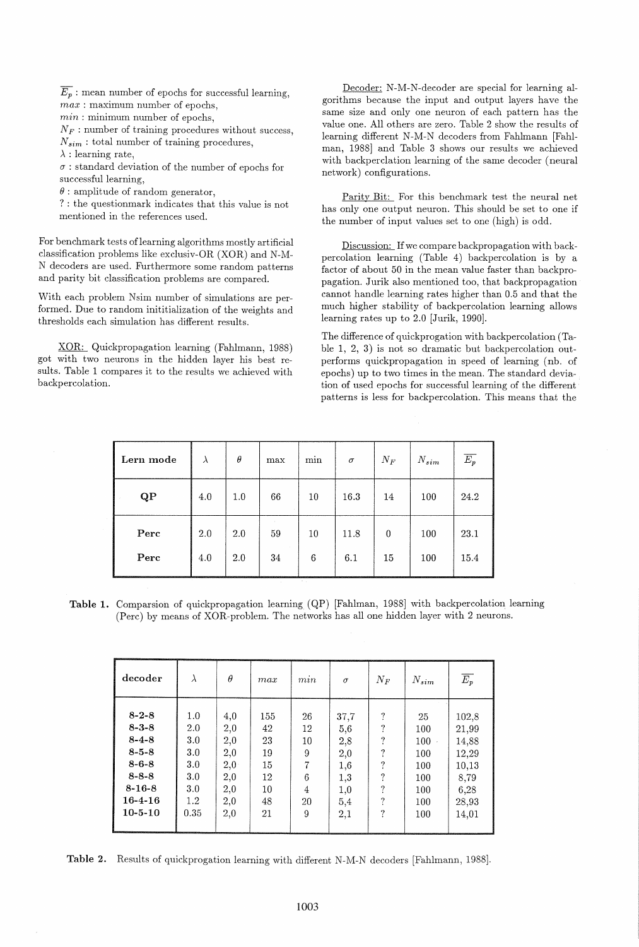$\overline{E_p}$ : mean number of epochs for successful learning, *max:* maximum number of epochs,

*min:* minimum number of epochs,

 $N_F$ : number of training procedures without success,

*Nsim* : total number of training procedures,

 $\lambda$  : learning rate,

 $\sigma$ : standard deviation of the number of epochs for successful learning,

 $\theta$ : amplitude of random generator,

? : the questionmark indicates that this value is not mentioned in the references used.

For benchmark tests of learning algorithms mostly artificial classification problems like exclusiv-OR (XOR) and N-M-N decoders are used. Furthermore some random patterns and parity bit classification problems are compared.

With each problem Nsim number of simulations are performed. Due to random inititialization of the weights and thresholds each simulation has different results.

XOR: Quickpropagation learning (Fahlmann, 1988) got with two neurons in the hidden layer his best results. Table 1 compares it to the results we achieved with backpercolation.

Decoder: N-M-N-decoder are special for learning algorithms because the input and output layers have the same size and only one neuron of each pattern has the value one. All others are zero. Table 2 show the results of learning different N-M-N decoders from Fahlmann [Fahlman, 1988] and Table 3 shows our results we achieved with backperclation learning of the same decoder (neural network) configurations.

Parity Bit: For this benchmark test the neural net has only one output neuron. This should be set to one if the number of input values set to one (high) is odd.

Discussion: If we compare backpropagation with backpercolation learning (Table 4) backpercolation is by a factor of about 50 in the mean value faster than backpropagation. Jurik also mentioned too, that backpropagation cannot handle learning rates higher than 0.5 and that the much higher stability of backpercolation learning allows learning rates up to 2.0 [Jurik, 1990].

The difference of quickprogation with backpercolation (Table 1, 2, 3) is not so dramatic but backpercolation outperforms quickpropagation in speed of learning (nb. of epochs) up to two times in the mean. The standard deviation of used epochs for successful learning of the different patterns is less for backpercolation. This means that the

| Lern mode     | $\lambda$ | $\theta$ | max | ٠.<br>min | $\sigma$ | $N_F$    | $N_{sim}$ | $\overline{E_p}$ |
|---------------|-----------|----------|-----|-----------|----------|----------|-----------|------------------|
| $\mathbf{QP}$ | 4.0       | 1.0      | 66  | $10\,$    | 16.3     | 14       | 100       | 24.2             |
| Perc          | 2.0       | 2.0      | 59  | 10        | 11.8     | $\theta$ | 100       | 23.1             |
| Perc          | 4.0       | 2.0      | 34  | 6         | 6.1      | 15       | 100       | 15.4             |

Table 1. Comparsion of quickpropagation learning (QP) [Fahlman, 1988] with backpercolation learning (Perc) by means of XOR-problem. The networks has all one hidden layer with 2 neurons.

| decoder       | $\lambda$ | $\theta$ | max | m <sub>i</sub> | $\sigma$ | $N_F$ | $N_{sim}$ | $\overline{E_p}$ |
|---------------|-----------|----------|-----|----------------|----------|-------|-----------|------------------|
| $8 - 2 - 8$   | 1.0       | 4,0      | 155 | 26             | 37,7     | ?     | 25        | 102,8            |
| $8 - 3 - 8$   | 2.0       | 2,0      | 42  | 12             | 5,6      | ?     | 100       | 21,99            |
| $8 - 4 - 8$   | 3.0       | 2,0      | 23  | 10             | 2,8      | ?     | $100 -$   | 14,88            |
| $8 - 5 - 8$   | 3.0       | 2,0      | 19  | 9              | 2,0      | ?     | 100       | 12,29            |
| $8 - 6 - 8$   | 3.0       | 2,0      | 15  | 7              | 1,6      | ?     | 100       | 10,13            |
| $8 - 8 - 8$   | 3.0       | 2,0      | 12  | 6              | 1,3      | ?     | 100       | 8,79             |
| $8 - 16 - 8$  | 3.0       | 2,0      | 10  | 4              | $_{1,0}$ | ?     | 100       | 6,28             |
| $16 - 4 - 16$ | 1.2       | 2,0      | 48  | 20             | 5,4      | ?     | 100       | 28,93            |
| $10 - 5 - 10$ | 0.35      | 2,0      | 21  | 9              | 2,1      | ?     | 100       | 14,01            |

Table 2. Results of quickprogation learning with different N-M-N decoders [Fahlmann, 1988].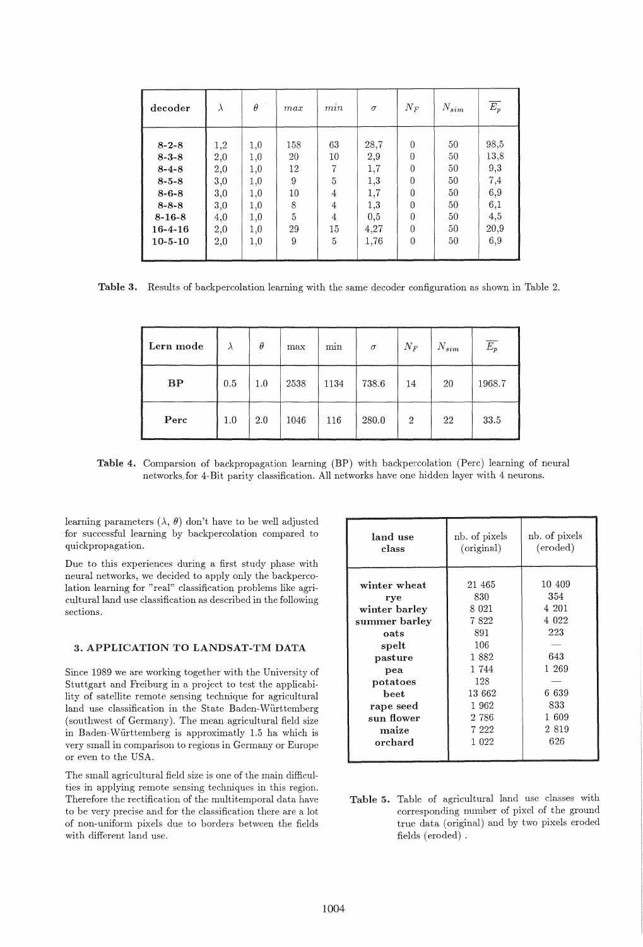| decoder                                                                                                                                  | $\lambda$                                                   | $\theta$                                                    | max                                                   | mnn                                                                                                  | $\sigma$                                                       | $N_F$                                                                                                    | $N_{sim}$                                          | $\overline{E_p}$                                                                              |
|------------------------------------------------------------------------------------------------------------------------------------------|-------------------------------------------------------------|-------------------------------------------------------------|-------------------------------------------------------|------------------------------------------------------------------------------------------------------|----------------------------------------------------------------|----------------------------------------------------------------------------------------------------------|----------------------------------------------------|-----------------------------------------------------------------------------------------------|
| $8 - 2 - 8$<br>$8 - 3 - 8$<br>$8 - 4 - 8$<br>$8 - 5 - 8$<br>$8 - 6 - 8$<br>$8 - 8 - 8$<br>$8 - 16 - 8$<br>$16 - 4 - 16$<br>$10 - 5 - 10$ | 1,2<br>2,0<br>2,0<br>3,0<br>3,0<br>3,0<br>4,0<br>2,0<br>2,0 | 1,0<br>1,0<br>1,0<br>1,0<br>1,0<br>1,0<br>1,0<br>1,0<br>1,0 | 158<br>20<br>12<br>9<br>10<br>8<br>$\rm 5$<br>29<br>9 | 63<br>10<br>$\overline{7}$<br>5<br>$\overline{4}$<br>$\overline{4}$<br>$\overline{4}$<br>$15\,$<br>5 | 28,7<br>2,9<br>1,7<br>1,3<br>1,7<br>1,3<br>0,5<br>4,27<br>1,76 | $\Omega$<br>$\theta$<br>$\theta$<br>$\Omega$<br>$\theta$<br>$\Omega$<br>$\theta$<br>$\theta$<br>$\theta$ | 50<br>50<br>50<br>50<br>50<br>50<br>50<br>50<br>50 | 98,5<br>13,8<br>9,3<br>7,4<br>6,9<br>$\begin{array}{c} 6,1 \\ 4,5 \end{array}$<br>20,9<br>6,9 |

Table 3. Results of backpercolation learning with the same decoder configuration as shown in Table 2.

| Lern mode |     | $\theta$ | max  | min  | $\sigma$ | $N_F$          | $N_{sim}$ | $E_p$  |
|-----------|-----|----------|------|------|----------|----------------|-----------|--------|
| BP        | 0.5 | 1.0      | 2538 | 1134 | 738.6    | 14             | 20        | 1968.7 |
| Perc      | 1.0 | 2.0      | 1046 | 116  | 280.0    | $\overline{2}$ | 22        | 33.5   |

Table 4. Comparsion of backpropagation learning (BP) with backpercolation (Perc) learning of neural networks,for 4-Bit parity classification. All networks have one hidden layer with 4 neurons.

learning parameters  $(\lambda, \theta)$  don't have to be well adjusted for successful learning by backpercolation compared to quickpropagation.

Due to this experiences during a first study phase with neural networks, we decided to apply only the backpercolation learning for "real" classification problems like agricultural land use classification as described in the following sections.

# 3. APPLICATION TO LANDSAT-TM DATA

Since 1989 we are working together with the University of Stuttgart and Freiburg in a project to test the applicability of satellite remote sensing technique for agricultural land use classification in the State Baden-Wiirttemberg (southwest of Germany). The mean agricultural field size in Baden-Wiirttemberg is approximatly 1.5 ha which is very small in comparison to regions in Germany or Europe or even to the USA.

The small agricultural field size is one of the main difficulties in applying remote sensing techniques in this region. Therefore the rectification of the multitemporal data have to be very precise and for the classification there are a lot of non-uniform pixels due to borders between the fields with different land use.

| land use                                                                                                                                                           | nb. of pixels                                                                                                      | nb. of pixels                                                                                    |  |  |
|--------------------------------------------------------------------------------------------------------------------------------------------------------------------|--------------------------------------------------------------------------------------------------------------------|--------------------------------------------------------------------------------------------------|--|--|
| class                                                                                                                                                              | (original)                                                                                                         | (eroded)                                                                                         |  |  |
| winter wheat<br>rye<br>winter barley<br>summer barley<br>oats<br>spelt<br>pasture<br>pea<br>potatoes<br><b>beet</b><br>rape seed<br>sun flower<br>maize<br>orchard | 21 465<br>830<br>8 0 21<br>7822<br>891<br>106<br>1882<br>1 744<br>128<br>13 662<br>1962<br>2 786<br>7 222<br>1 022 | 10 409<br>354<br>4 201<br>4 0 2 2<br>223<br>643<br>1 269<br>6 639<br>833<br>1 609<br>2819<br>626 |  |  |

Table 5. Table of agricultural land use classes with corresponding number of pixel of the ground true data (original) and by two pixels eroded fields (eroded) .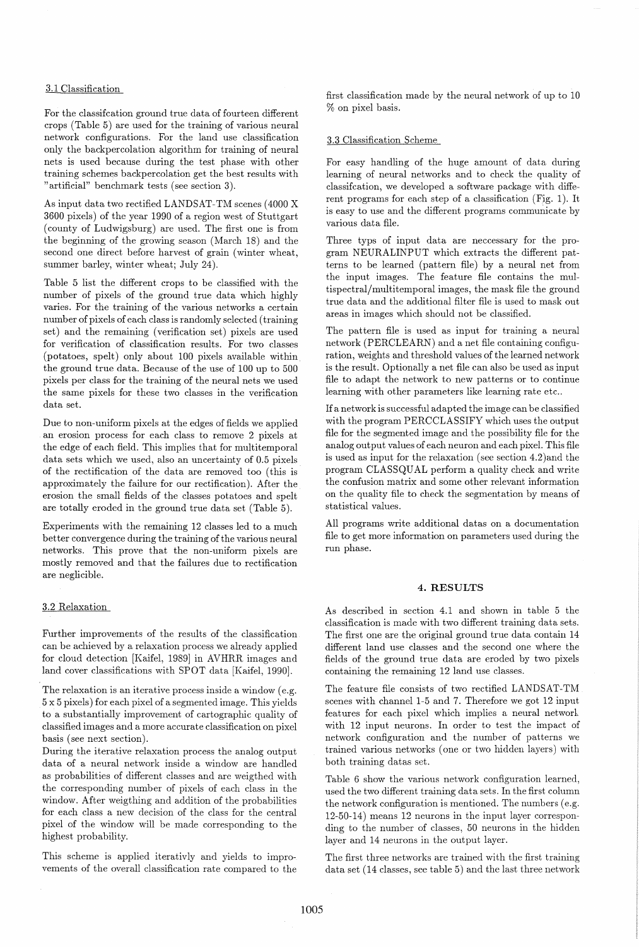#### 3.1 Classification

For the classifcation ground true data of fourteen different crops (Table 5) are used for the training of various neural network configurations. For the land use classification only the backpercolation algorithm for training of neural nets is used because during the test phase with other training schemes backpercolation get the best results with "artificial" benchmark tests (see section 3).

As input data two rectified LANDSAT-TM scenes (4000 X 3600 pixels) of the year 1990 of a region west of Stuttgart (county of Ludwigsburg) are used. The first one is from the beginning of the growing season (March 18) and the second one direct before harvest of grain (winter wheat, summer barley, winter wheat; July 24).

Table 5 list the different crops to be classified with the number of pixels of the ground true data which highly varies. For the training of the various networks a certain number of pixels of each class is randomly selected (training set) and the remaining (verification set) pixels are used for verification of classification results. For two classes (potatoes, spelt) only about 100 pixels available within the ground true data. Because of the use of 100 up to 500 pixels per class for the training of the neural nets we used the same pixels for these two classes in the verification data set.

Due to non-uniform pixels at the edges of fields we applied an erosion process for each class to remove 2 pixels at the edge of each field. This implies that for multitemporal data sets which we used, also an uncertainty of 0.5 pixels of the rectification of the data are removed too (this is approximately the failure for our rectification). After the erosion the small fields of the classes potatoes and spelt are totally eroded in the ground true data set (Table 5).

Experiments with the remaining 12 classes led to a much better convergence during the training of the various neural networks. This prove that the non-uniform pixels are mostly removed and that the failures due to rectification are neglicible.

#### 3.2 Relaxation

Further improvements of the results of the classification can be achieved by a relaxation process we already applied for cloud detection [Kaifel, 1989] in AVHRR images and land cover classifications with SPOT data [Kaifel, 1990].

The relaxation is an iterative process inside a window (e.g. 5 x 5 pixels) for each pixel of a segmented image. This yields to a substantially improvement of cartographic quality of classified images and a more accurate classification on pixel basis (see next section).

During the iterative relaxation process the analog output data of a neural network inside a window are handled as probabilities of different classes and are weigthed with the corresponding number of pixels of each class in the window. After weigthing and addition of the probabilities for each class a new decision of the class for the central pixel of the window will be made corresponding to the highest probability.

This scheme is applied iterativly and yields to improvements of the overall classification rate compared to the first classification made by the neural network of up to 10 % on pixel basis.

#### 3.3 Classification Scheme

For easy handling of the huge amount of data during learning of neural networks and to check the quality of classifcation, we developed a software package with different programs for each step of a classification (Fig. 1). It is easy to use and the different programs communicate by various data file.

Three typs of input data are neccessary for the program NEURALINPUT which extracts the different patterns to be learned (pattern file) by a neural net from the input images. The feature file contains the multispectral/multitemporal images, the mask file the ground true data and the additional filter file is used to mask out areas in images which should not be classified.

The pattern file is used as input for training a neural network (PERCLEARN) and a net file containing configuration, weights and threshold values of the learned network is the result. Optionally a net file can also be used as input file to adapt the network to new patterns or to continue learning with other parameters like learning rate etc..

If a network is successful adapted the image can be classified with the program PERCCLASSIFY which uses the output file for the segmented image and the possibility file for the analog output values of each neuron and each pixel. This file is used as input for the relaxation (see section 4.2)and the program CLASSQU AL perform a quality check and write the confusion matrix and some other relevant information on the quality file to check the segmentation by means of statistical values.

All programs write additional datas on a documentation file to get more information on parameters used during the run phase.

#### 4. RESULTS

As described in section 4.1 and shown in table 5 the classification is made with two different training data sets. The first one are the original ground true data contain 14 different land use classes and the second one where the fields of the ground true data are eroded by two pixels containing the remaining 12 land use classes.

The feature file consists of two rectified LANDSAT-TM scenes with channel 1-5 and 7. Therefore we got 12 input features for each pixel which implies a neural networh with 12 input neurons. In order to test the impact of network configuration and the number of patterns we trained various networks (one or two hidden layers) with both training datas set.

Table 6 show the various network configuration learned, used the two different training data sets. In the first column the network configuration is mentioned. The numbers (e.g. 12-50-14) means 12 neurons in the input layer corresponding to the number of classes, 50 neurons in the hidden layer and 14 neurons in the output layer.

The first three networks are trained with the first training data set (14 classes, see table 5) and the last three network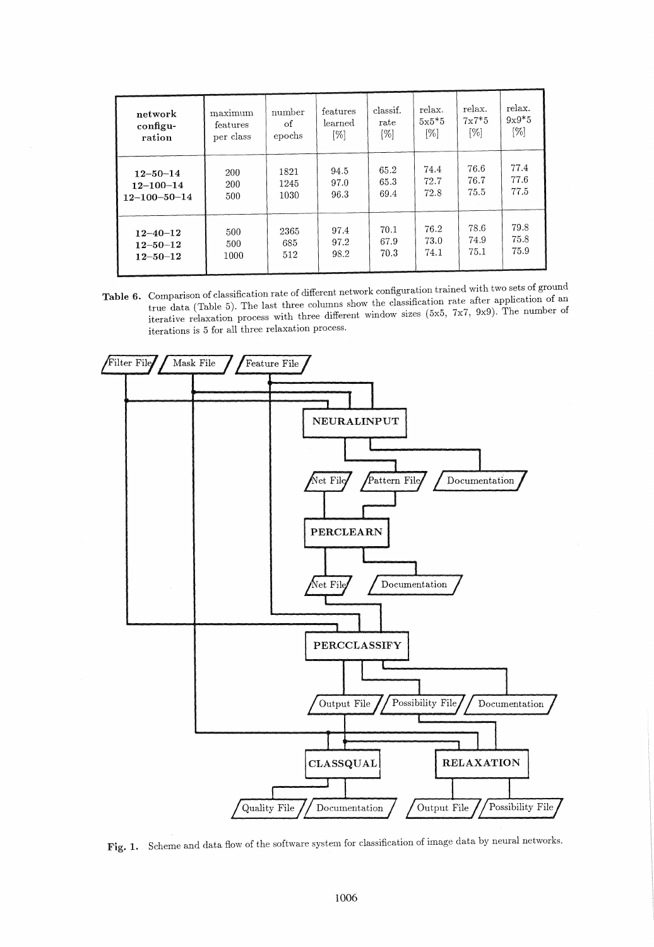| network              | maximum   | number | features | classif. | relax.  | relax.  | relax.  |
|----------------------|-----------|--------|----------|----------|---------|---------|---------|
| configu-             | features  | of     | learned  | rate     | $5x5*5$ | $7x7*5$ | $9x9*5$ |
| ration               | per class | epochs | [%]      | [%]      | [%]     | [%]     | [%]     |
| $12 - 50 - 14$       | 200       | 1821   | 94.5     | 65.2     | 74.4    | 76.6    | 77.4    |
| $12 - 100 - 14$      | 200       | 1245   | 97.0     | 65.3     | 72.7    | 76.7    | 77.6    |
| $12 - 100 - 50 - 14$ | 500       | 1030   | 96.3     | 69.4     | 72.8    | 75.5    | 77.5    |
| $12 - 40 - 12$       | 500       | 2365   | 97.4     | 70.1     | 76.2    | 78.6    | 79.8    |
| $12 - 50 - 12$       | 500       | 685    | 97.2     | 67.9     | 73.0    | 74.9    | 75.8    |
| $12 - 50 - 12$       | 1000      | 512    | 98.2     | 70.3     | 74.1    | 75.1    | 75.9    |

Table 6. Comparison of classification rate of different network configuration trained with two sets of ground true data (Table 5). The last three columns show the classification rate after application of an iterative relaxation process with three different window sizes (5x5, 7x7, 9x9). The number of iterations is 5 for all three relaxation process.



Fig. 1. Scheme and data flow of the software system for classification of image data by neural networks.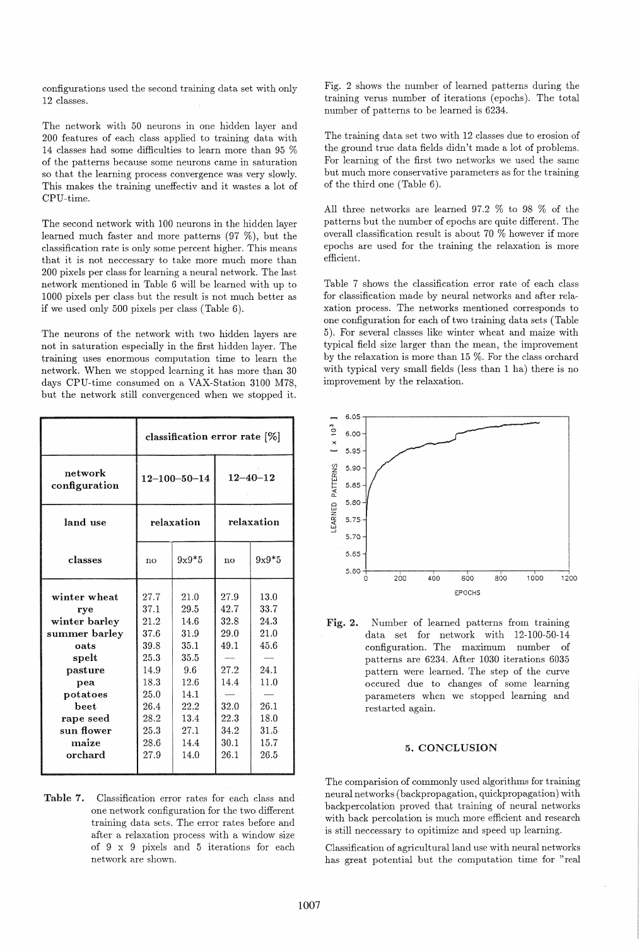configurations used the second training data set with only 12 classes.

The network with 50 neurons in one hidden layer and 200 features of each class applied to training data with 14 classes had some difficulties to learn more than 95 % of the patterns because some neurons came in saturation so that the learning process convergence was very slowly. This makes the training uneffectiv and it wastes a lot of CPU-time.

The second network with 100 neurons in the hidden layer learned much faster and more patterns (97 %), but the classification rate is only some percent higher. This means that it is not neccessary to take more much more than 200 pixels per class for learning a neural network. The last network mentioned in Table 6 will be learned with up to 1000 pixels per class but the result is not much better as if we used only 500 pixels per class (Table 6).

The neurons of the network with two hidden layers are not in saturation especially in the first hidden layer. The training uses enormous computation time to learn the network. When we stopped learning it has more than 30 days CPU-time consumed on a VAX-Station 3100 M78, but the network still convergenced when we stopped it.

|                                                                                                                                                  | classification error rate $[\%]$                                                                     |                                                                                                     |                                                                                      |                                                                                      |  |  |  |  |
|--------------------------------------------------------------------------------------------------------------------------------------------------|------------------------------------------------------------------------------------------------------|-----------------------------------------------------------------------------------------------------|--------------------------------------------------------------------------------------|--------------------------------------------------------------------------------------|--|--|--|--|
| network<br>configuration                                                                                                                         |                                                                                                      | $12 - 100 - 50 - 14$                                                                                | $12 - 40 - 12$                                                                       |                                                                                      |  |  |  |  |
| land use                                                                                                                                         |                                                                                                      | relaxation                                                                                          | relaxation                                                                           |                                                                                      |  |  |  |  |
| classes                                                                                                                                          | $9x9*5$<br>$\mathbf{n}$                                                                              |                                                                                                     | no                                                                                   | $9x9*5$                                                                              |  |  |  |  |
| winter wheat<br>rye<br>winter barley<br>summer barley<br>oats<br>spelt<br>pasture<br>pea<br>potatoes<br>heet<br>rape seed<br>sun flower<br>maize | 27.7<br>37.1<br>21.2<br>37.6<br>39.8<br>25.3<br>14.9<br>18.3<br>25.0<br>26.4<br>28.2<br>25.3<br>28.6 | 21.0<br>29.5<br>14.6<br>31.9<br>35.1<br>35.5<br>9.6<br>12.6<br>14.1<br>22.2<br>13.4<br>27.1<br>14.4 | 27.9<br>42.7<br>32.8<br>29.0<br>49.1<br>27.2<br>14.4<br>32.0<br>22.3<br>34.2<br>30.1 | 13.0<br>33.7<br>24.3<br>21.0<br>45.6<br>24.1<br>11.0<br>26.1<br>18.0<br>31.5<br>15.7 |  |  |  |  |
| orchard                                                                                                                                          | 27.9                                                                                                 | 14.0                                                                                                | 26.1                                                                                 | 26.5                                                                                 |  |  |  |  |

Table 7. Classification error rates for each class and one network configuration for the two different training data sets. The error rates before and after a relaxation process with a window size of 9 x 9 pixels and 5 iterations for each network are shown.

Fig. 2 shows the number of learned patterns during the training verus number of iterations (epochs). The total number of patterns to be learned is 6234.

The training data set two with 12 classes due to erosion of the ground true data fields didn't made a lot of problems. For learning of the first two networks we used the same but much more conservative parameters as for the training of the third one (Table 6).

All three networks are learned 97.2 % to 98 % of the patterns but the number of epochs are quite different. The overall classification result is about 70 % however if more epochs are used for the training the relaxation is more efficient.

Table 7 shows the classification error rate of each class for classification made by neural networks and after relaxation process. The networks mentioned corresponds to one configuration for each of two training data sets (Table 5). For several classes like winter wheat and maize with typical field size larger than the mean, the improvement by the relaxation is more than 15 %. For the class orchard with typical very small fields (less than 1 ha) there is no improvement by the relaxation.



Fig. 2. Number of learned patterns from training data set for network with 12-100-50-14 configuration. The maximum number of patterns are 6234. After 1030 iterations 6035 pattern were learned. The step of the curve occured due to changes of some learning parameters when we stopped learning and restarted again.

#### 5. CONCLUSION

The comparision of commonly used algorithms for training neural networks (backpropagation, quickpropagation) with backpercolation proved that training of neural networks with back percolation is much more efficient and research is still neccessary to opitimize and speed up learning.

Classification of agricultural land use with neural networks has great potential but the computation time for "real